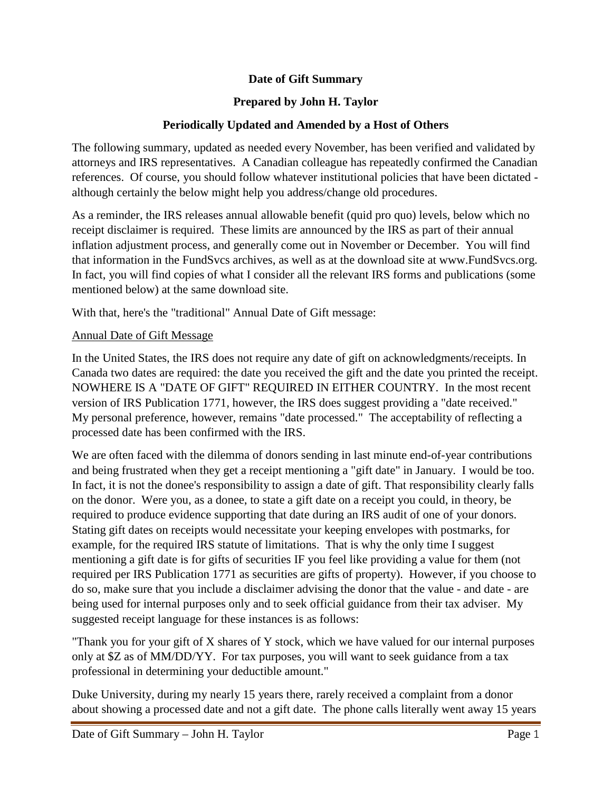## **Date of Gift Summary**

## **Prepared by John H. Taylor**

## **Periodically Updated and Amended by a Host of Others**

The following summary, updated as needed every November, has been verified and validated by attorneys and IRS representatives. A Canadian colleague has repeatedly confirmed the Canadian references. Of course, you should follow whatever institutional policies that have been dictated although certainly the below might help you address/change old procedures.

As a reminder, the IRS releases annual allowable benefit (quid pro quo) levels, below which no receipt disclaimer is required. These limits are announced by the IRS as part of their annual inflation adjustment process, and generally come out in November or December. You will find that information in the FundSvcs archives, as well as at the download site at www.FundSvcs.org. In fact, you will find copies of what I consider all the relevant IRS forms and publications (some mentioned below) at the same download site.

With that, here's the "traditional" Annual Date of Gift message:

## Annual Date of Gift Message

In the United States, the IRS does not require any date of gift on acknowledgments/receipts. In Canada two dates are required: the date you received the gift and the date you printed the receipt. NOWHERE IS A "DATE OF GIFT" REQUIRED IN EITHER COUNTRY. In the most recent version of IRS Publication 1771, however, the IRS does suggest providing a "date received." My personal preference, however, remains "date processed." The acceptability of reflecting a processed date has been confirmed with the IRS.

We are often faced with the dilemma of donors sending in last minute end-of-year contributions and being frustrated when they get a receipt mentioning a "gift date" in January. I would be too. In fact, it is not the donee's responsibility to assign a date of gift. That responsibility clearly falls on the donor. Were you, as a donee, to state a gift date on a receipt you could, in theory, be required to produce evidence supporting that date during an IRS audit of one of your donors. Stating gift dates on receipts would necessitate your keeping envelopes with postmarks, for example, for the required IRS statute of limitations. That is why the only time I suggest mentioning a gift date is for gifts of securities IF you feel like providing a value for them (not required per IRS Publication 1771 as securities are gifts of property). However, if you choose to do so, make sure that you include a disclaimer advising the donor that the value - and date - are being used for internal purposes only and to seek official guidance from their tax adviser. My suggested receipt language for these instances is as follows:

"Thank you for your gift of X shares of Y stock, which we have valued for our internal purposes only at \$Z as of MM/DD/YY. For tax purposes, you will want to seek guidance from a tax professional in determining your deductible amount."

Duke University, during my nearly 15 years there, rarely received a complaint from a donor about showing a processed date and not a gift date. The phone calls literally went away 15 years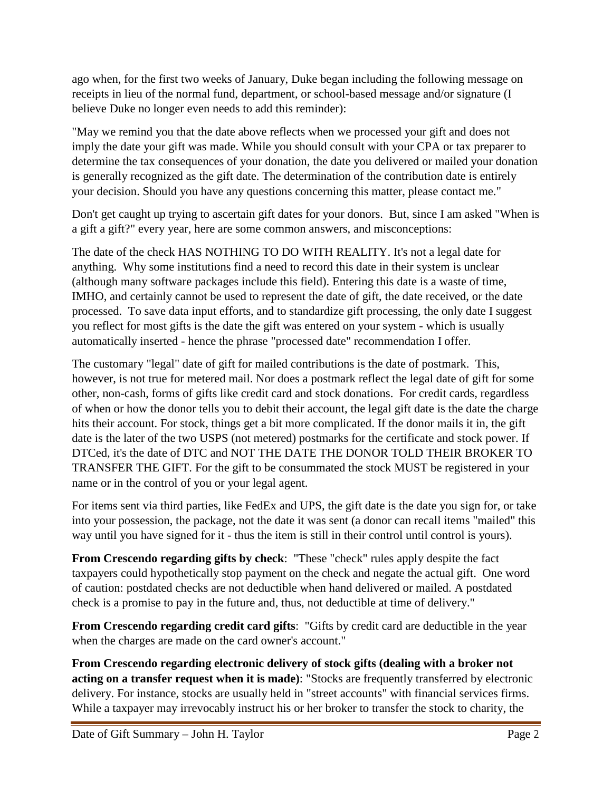ago when, for the first two weeks of January, Duke began including the following message on receipts in lieu of the normal fund, department, or school-based message and/or signature (I believe Duke no longer even needs to add this reminder):

"May we remind you that the date above reflects when we processed your gift and does not imply the date your gift was made. While you should consult with your CPA or tax preparer to determine the tax consequences of your donation, the date you delivered or mailed your donation is generally recognized as the gift date. The determination of the contribution date is entirely your decision. Should you have any questions concerning this matter, please contact me."

Don't get caught up trying to ascertain gift dates for your donors. But, since I am asked "When is a gift a gift?" every year, here are some common answers, and misconceptions:

The date of the check HAS NOTHING TO DO WITH REALITY. It's not a legal date for anything. Why some institutions find a need to record this date in their system is unclear (although many software packages include this field). Entering this date is a waste of time, IMHO, and certainly cannot be used to represent the date of gift, the date received, or the date processed. To save data input efforts, and to standardize gift processing, the only date I suggest you reflect for most gifts is the date the gift was entered on your system - which is usually automatically inserted - hence the phrase "processed date" recommendation I offer.

The customary "legal" date of gift for mailed contributions is the date of postmark. This, however, is not true for metered mail. Nor does a postmark reflect the legal date of gift for some other, non-cash, forms of gifts like credit card and stock donations. For credit cards, regardless of when or how the donor tells you to debit their account, the legal gift date is the date the charge hits their account. For stock, things get a bit more complicated. If the donor mails it in, the gift date is the later of the two USPS (not metered) postmarks for the certificate and stock power. If DTCed, it's the date of DTC and NOT THE DATE THE DONOR TOLD THEIR BROKER TO TRANSFER THE GIFT. For the gift to be consummated the stock MUST be registered in your name or in the control of you or your legal agent.

For items sent via third parties, like FedEx and UPS, the gift date is the date you sign for, or take into your possession, the package, not the date it was sent (a donor can recall items "mailed" this way until you have signed for it - thus the item is still in their control until control is yours).

**From Crescendo regarding gifts by check**: "These "check" rules apply despite the fact taxpayers could hypothetically stop payment on the check and negate the actual gift. One word of caution: postdated checks are not deductible when hand delivered or mailed. A postdated check is a promise to pay in the future and, thus, not deductible at time of delivery."

**From Crescendo regarding credit card gifts**: "Gifts by credit card are deductible in the year when the charges are made on the card owner's account."

**From Crescendo regarding electronic delivery of stock gifts (dealing with a broker not acting on a transfer request when it is made)**: "Stocks are frequently transferred by electronic delivery. For instance, stocks are usually held in "street accounts" with financial services firms. While a taxpayer may irrevocably instruct his or her broker to transfer the stock to charity, the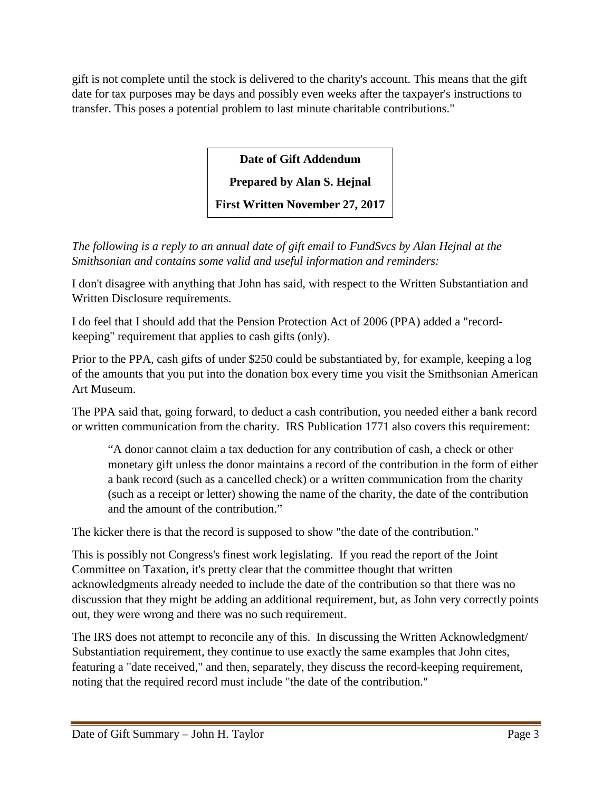gift is not complete until the stock is delivered to the charity's account. This means that the gift date for tax purposes may be days and possibly even weeks after the taxpayer's instructions to transfer. This poses a potential problem to last minute charitable contributions."

**Date of Gift Addendum**

**Prepared by Alan S. Hejnal**

**First Written November 27, 2017**

*The following is a reply to an annual date of gift email to FundSvcs by Alan Hejnal at the Smithsonian and contains some valid and useful information and reminders:*

I don't disagree with anything that John has said, with respect to the Written Substantiation and Written Disclosure requirements.

I do feel that I should add that the Pension Protection Act of 2006 (PPA) added a "recordkeeping" requirement that applies to cash gifts (only).

Prior to the PPA, cash gifts of under \$250 could be substantiated by, for example, keeping a log of the amounts that you put into the donation box every time you visit the Smithsonian American Art Museum.

The PPA said that, going forward, to deduct a cash contribution, you needed either a bank record or written communication from the charity. IRS Publication 1771 also covers this requirement:

"A donor cannot claim a tax deduction for any contribution of cash, a check or other monetary gift unless the donor maintains a record of the contribution in the form of either a bank record (such as a cancelled check) or a written communication from the charity (such as a receipt or letter) showing the name of the charity, the date of the contribution and the amount of the contribution."

The kicker there is that the record is supposed to show "the date of the contribution."

This is possibly not Congress's finest work legislating. If you read the report of the Joint Committee on Taxation, it's pretty clear that the committee thought that written acknowledgments already needed to include the date of the contribution so that there was no discussion that they might be adding an additional requirement, but, as John very correctly points out, they were wrong and there was no such requirement.

The IRS does not attempt to reconcile any of this. In discussing the Written Acknowledgment/ Substantiation requirement, they continue to use exactly the same examples that John cites, featuring a "date received," and then, separately, they discuss the record-keeping requirement, noting that the required record must include "the date of the contribution."